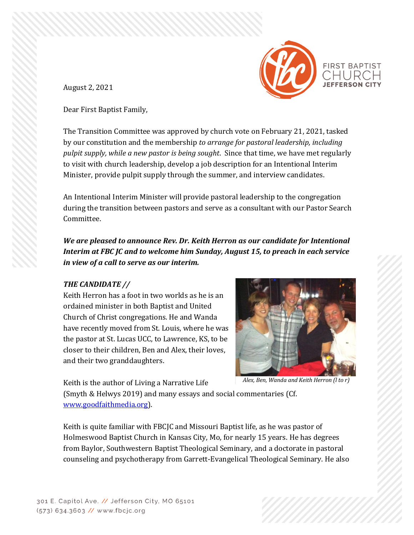

August 2, 2021

Dear First Baptist Family,

The Transition Committee was approved by church vote on February 21, 2021, tasked by our constitution and the membership *to arrange for pastoral leadership, including pulpit supply, while a new pastor is being sought*. Since that time, we have met regularly to visit with church leadership, develop a job description for an Intentional Interim Minister, provide pulpit supply through the summer, and interview candidates.

An Intentional Interim Minister will provide pastoral leadership to the congregation during the transition between pastors and serve as a consultant with our Pastor Search Committee.

*We are pleased to announce Rev. Dr. Keith Herron as our candidate for Intentional Interim at FBC JC and to welcome him Sunday, August 15, to preach in each service in view of a call to serve as our interim.*

# *THE CANDIDATE //*

Keith Herron has a foot in two worlds as he is an ordained minister in both Baptist and United Church of Christ congregations. He and Wanda have recently moved from St. Louis, where he was the pastor at St. Lucas UCC, to Lawrence, KS, to be closer to their children, Ben and Alex, their loves, and their two granddaughters.



Keith is the author of Living a Narrative Life

*Alex, Ben, Wanda and Keith Herron (l to r)*

(Smyth & Helwys 2019) and many essays and social commentaries (Cf. [www.goodfaithmedia.org\)](http://www.goodfaithmedia.org/).

Keith is quite familiar with FBCJC and Missouri Baptist life, as he was pastor of Holmeswood Baptist Church in Kansas City, Mo, for nearly 15 years. He has degrees from Baylor, Southwestern Baptist Theological Seminary, and a doctorate in pastoral counseling and psychotherapy from Garrett-Evangelical Theological Seminary. He also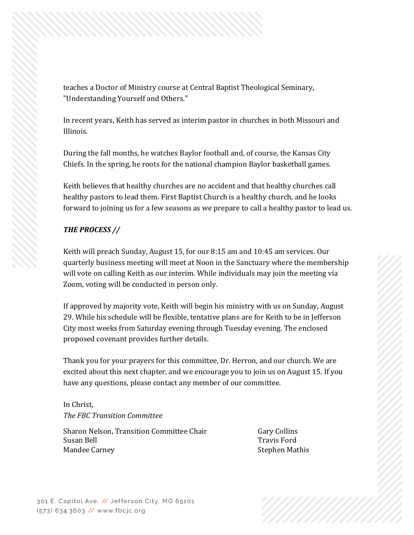teaches a Doctor of Ministry course at Central Baptist Theological Seminary, "Understanding Yourself and Others."

In recent years, Keith has served as interim pastor in churches in both Missouri and Illinois.

During the fall months, he watches Baylor football and, of course, the Kansas City Chiefs. In the spring, he roots for the national champion Baylor basketball games.

Keith believes that healthy churches are no accident and that healthy churches call healthy pastors to lead them. First Baptist Church is a healthy church, and he looks forward to joining us for a few seasons as we prepare to call a healthy pastor to lead us.

## *THE PROCESS //*

Keith will preach Sunday, August 15, for our 8:15 am and 10:45 am services. Our quarterly business meeting will meet at Noon in the Sanctuary where the membership will vote on calling Keith as our interim. While individuals may join the meeting via Zoom, voting will be conducted in person only.

If approved by majority vote, Keith will begin his ministry with us on Sunday, August 29. While his schedule will be flexible, tentative plans are for Keith to be in Jefferson City most weeks from Saturday evening through Tuesday evening. The enclosed proposed covenant provides further details.

Thank you for your prayers for this committee, Dr. Herron, and our church. We are excited about this next chapter, and we encourage you to join us on August 15. If you have any questions, please contact any member of our committee.

In Christ, *The FBC Transition Committee*

Sharon Nelson, Transition Committee Chair Gary Collins Susan Bell Travis Ford Mandee Carney **Stephen Mathis**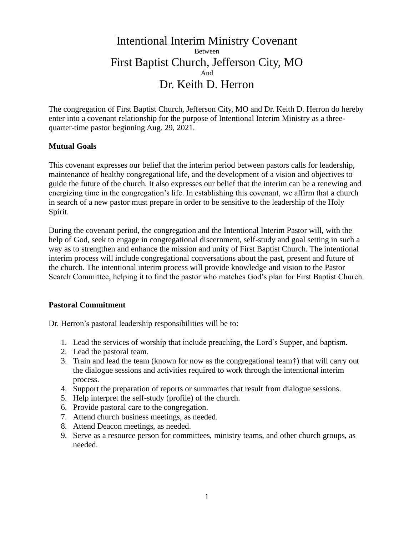# Intentional Interim Ministry Covenant Between First Baptist Church, Jefferson City, MO And Dr. Keith D. Herron

The congregation of First Baptist Church, Jefferson City, MO and Dr. Keith D. Herron do hereby enter into a covenant relationship for the purpose of Intentional Interim Ministry as a threequarter-time pastor beginning Aug. 29, 2021.

#### **Mutual Goals**

This covenant expresses our belief that the interim period between pastors calls for leadership, maintenance of healthy congregational life, and the development of a vision and objectives to guide the future of the church. It also expresses our belief that the interim can be a renewing and energizing time in the congregation's life. In establishing this covenant, we affirm that a church in search of a new pastor must prepare in order to be sensitive to the leadership of the Holy Spirit.

During the covenant period, the congregation and the Intentional Interim Pastor will, with the help of God, seek to engage in congregational discernment, self-study and goal setting in such a way as to strengthen and enhance the mission and unity of First Baptist Church. The intentional interim process will include congregational conversations about the past, present and future of the church. The intentional interim process will provide knowledge and vision to the Pastor Search Committee, helping it to find the pastor who matches God's plan for First Baptist Church.

#### **Pastoral Commitment**

Dr. Herron's pastoral leadership responsibilities will be to:

- 1. Lead the services of worship that include preaching, the Lord's Supper, and baptism.
- 2. Lead the pastoral team.
- 3. Train and lead the team (known for now as the congregational team†) that will carry out the dialogue sessions and activities required to work through the intentional interim process.
- 4. Support the preparation of reports or summaries that result from dialogue sessions.
- 5. Help interpret the self-study (profile) of the church.
- 6. Provide pastoral care to the congregation.
- 7. Attend church business meetings, as needed.
- 8. Attend Deacon meetings, as needed.
- 9. Serve as a resource person for committees, ministry teams, and other church groups, as needed.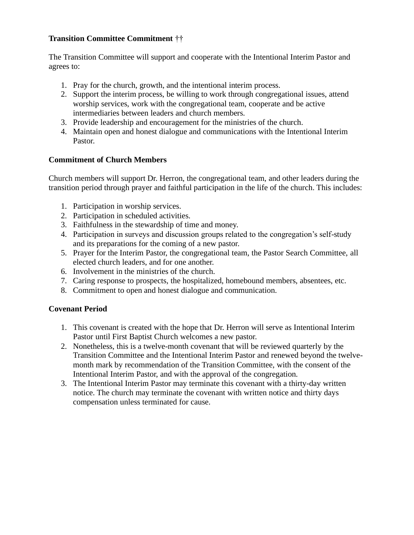## **Transition Committee Commitment** ††

The Transition Committee will support and cooperate with the Intentional Interim Pastor and agrees to:

- 1. Pray for the church, growth, and the intentional interim process.
- 2. Support the interim process, be willing to work through congregational issues, attend worship services, work with the congregational team, cooperate and be active intermediaries between leaders and church members.
- 3. Provide leadership and encouragement for the ministries of the church.
- 4. Maintain open and honest dialogue and communications with the Intentional Interim Pastor.

# **Commitment of Church Members**

Church members will support Dr. Herron, the congregational team, and other leaders during the transition period through prayer and faithful participation in the life of the church. This includes:

- 1. Participation in worship services.
- 2. Participation in scheduled activities.
- 3. Faithfulness in the stewardship of time and money.
- 4. Participation in surveys and discussion groups related to the congregation's self-study and its preparations for the coming of a new pastor.
- 5. Prayer for the Interim Pastor, the congregational team, the Pastor Search Committee, all elected church leaders, and for one another.
- 6. Involvement in the ministries of the church.
- 7. Caring response to prospects, the hospitalized, homebound members, absentees, etc.
- 8. Commitment to open and honest dialogue and communication.

# **Covenant Period**

- 1. This covenant is created with the hope that Dr. Herron will serve as Intentional Interim Pastor until First Baptist Church welcomes a new pastor.
- 2. Nonetheless, this is a twelve-month covenant that will be reviewed quarterly by the Transition Committee and the Intentional Interim Pastor and renewed beyond the twelvemonth mark by recommendation of the Transition Committee, with the consent of the Intentional Interim Pastor, and with the approval of the congregation.
- 3. The Intentional Interim Pastor may terminate this covenant with a thirty-day written notice. The church may terminate the covenant with written notice and thirty days compensation unless terminated for cause.